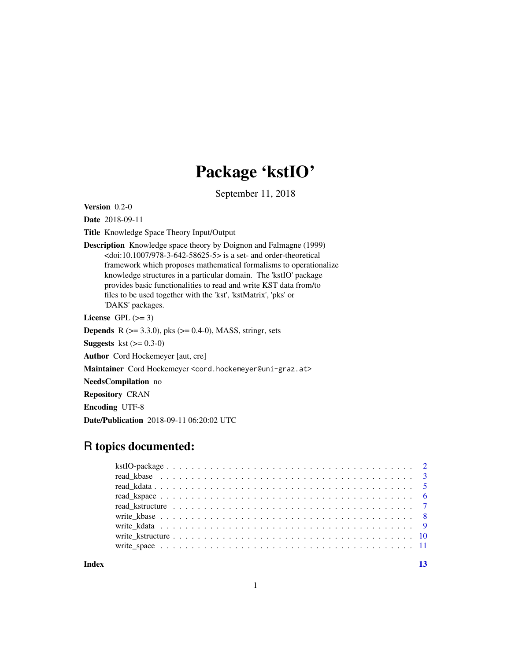## Package 'kstIO'

September 11, 2018

<span id="page-0-0"></span>Version 0.2-0

Date 2018-09-11

Title Knowledge Space Theory Input/Output

Description Knowledge space theory by Doignon and Falmagne (1999)  $<$ doi:10.1007/978-3-642-58625-5> is a set- and order-theoretical framework which proposes mathematical formalisms to operationalize knowledge structures in a particular domain. The 'kstIO' package provides basic functionalities to read and write KST data from/to files to be used together with the 'kst', 'kstMatrix', 'pks' or 'DAKS' packages.

License GPL  $(>= 3)$ 

**Depends** R ( $>= 3.3.0$ ), pks ( $>= 0.4-0$ ), MASS, stringr, sets

**Suggests** kst  $(>= 0.3-0)$ 

Author Cord Hockemeyer [aut, cre]

Maintainer Cord Hockemeyer <cord.hockemeyer@uni-graz.at>

NeedsCompilation no

Repository CRAN

Encoding UTF-8

Date/Publication 2018-09-11 06:20:02 UTC

### R topics documented:

**Index** [13](#page-12-0)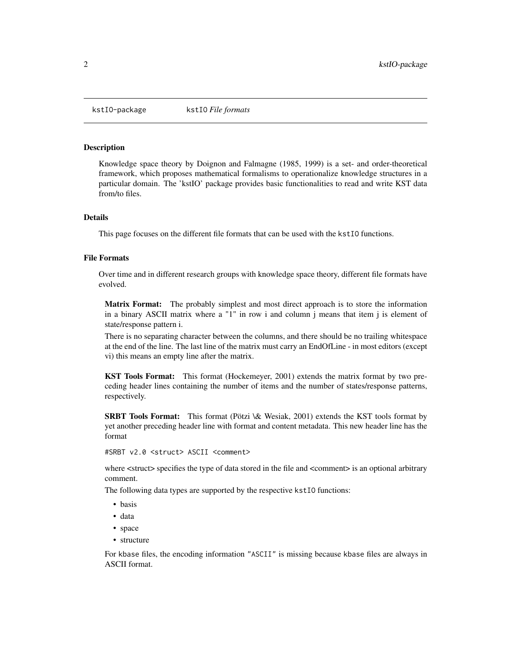<span id="page-1-1"></span><span id="page-1-0"></span>

#### **Description**

Knowledge space theory by Doignon and Falmagne (1985, 1999) is a set- and order-theoretical framework, which proposes mathematical formalisms to operationalize knowledge structures in a particular domain. The 'kstIO' package provides basic functionalities to read and write KST data from/to files.

#### Details

This page focuses on the different file formats that can be used with the kstIO functions.

#### File Formats

Over time and in different research groups with knowledge space theory, different file formats have evolved.

Matrix Format: The probably simplest and most direct approach is to store the information in a binary ASCII matrix where a "1" in row i and column j means that item j is element of state/response pattern i.

There is no separating character between the columns, and there should be no trailing whitespace at the end of the line. The last line of the matrix must carry an EndOfLine - in most editors (except vi) this means an empty line after the matrix.

KST Tools Format: This format (Hockemeyer, 2001) extends the matrix format by two preceding header lines containing the number of items and the number of states/response patterns, respectively.

SRBT Tools Format: This format (Pötzi \& Wesiak, 2001) extends the KST tools format by yet another preceding header line with format and content metadata. This new header line has the format

#SRBT v2.0 <struct> ASCII <comment>

where  $\le$  struct> specifies the type of data stored in the file and  $\le$  comment> is an optional arbitrary comment.

The following data types are supported by the respective kstIO functions:

- basis
- data
- space
- structure

For kbase files, the encoding information "ASCII" is missing because kbase files are always in ASCII format.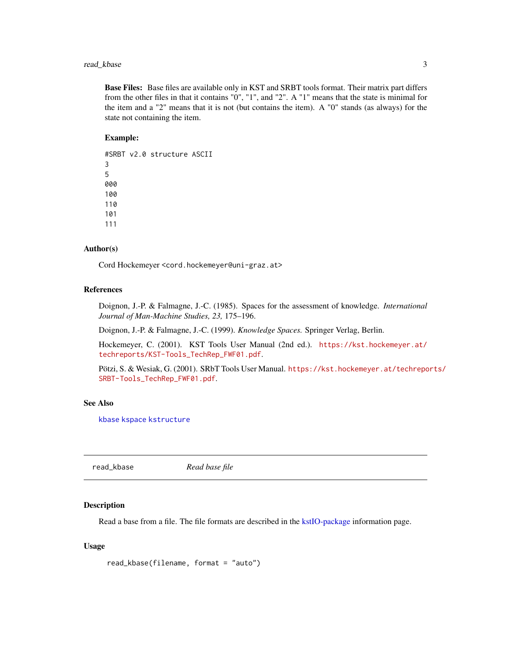#### <span id="page-2-0"></span>read\_kbase 3

Base Files: Base files are available only in KST and SRBT tools format. Their matrix part differs from the other files in that it contains "0", "1", and "2". A "1" means that the state is minimal for the item and a "2" means that it is not (but contains the item). A "0" stands (as always) for the state not containing the item.

#### Example:

#SRBT v2.0 structure ASCII 3 5 000 100 110 101 111

#### Author(s)

Cord Hockemeyer <cord.hockemeyer@uni-graz.at>

#### References

Doignon, J.-P. & Falmagne, J.-C. (1985). Spaces for the assessment of knowledge. *International Journal of Man-Machine Studies, 23,* 175–196.

Doignon, J.-P. & Falmagne, J.-C. (1999). *Knowledge Spaces.* Springer Verlag, Berlin.

Hockemeyer, C. (2001). KST Tools User Manual (2nd ed.). [https://kst.hockemeyer.at/](https://kst.hockemeyer.at/techreports/KST-Tools_TechRep_FWF01.pdf) [techreports/KST-Tools\\_TechRep\\_FWF01.pdf](https://kst.hockemeyer.at/techreports/KST-Tools_TechRep_FWF01.pdf).

Pötzi, S. & Wesiak, G. (2001). SRbT Tools User Manual. [https://kst.hockemeyer.at/techrepo](https://kst.hockemeyer.at/techreports/SRBT-Tools_TechRep_FWF01.pdf)rts/ [SRBT-Tools\\_TechRep\\_FWF01.pdf](https://kst.hockemeyer.at/techreports/SRBT-Tools_TechRep_FWF01.pdf).

#### See Also

[kbase](#page-0-0) [kspace](#page-0-0) [kstructure](#page-0-0)

read\_kbase *Read base file*

#### **Description**

Read a base from a file. The file formats are described in the [kstIO-package](#page-1-1) information page.

```
read_kbase(filename, format = "auto")
```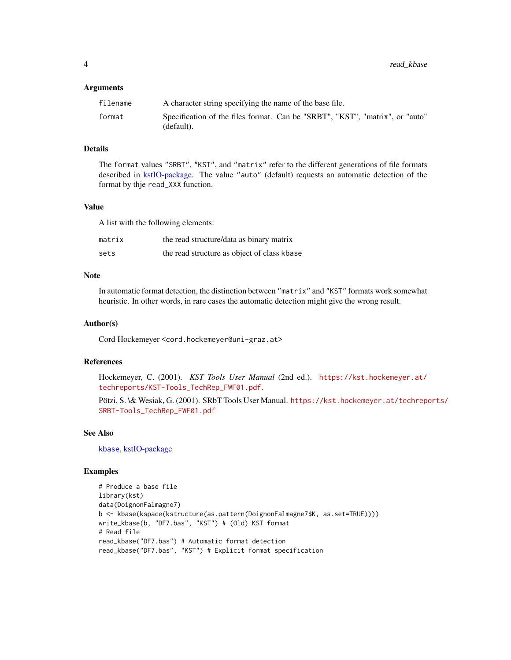#### <span id="page-3-0"></span>**Arguments**

| filename | A character string specifying the name of the base file.                                   |
|----------|--------------------------------------------------------------------------------------------|
| format   | Specification of the files format. Can be "SRBT", "KST", "matrix", or "auto"<br>(default). |

#### Details

The format values "SRBT", "KST", and "matrix" refer to the different generations of file formats described in [kstIO-package.](#page-1-1) The value "auto" (default) requests an automatic detection of the format by thje read\_XXX function.

#### Value

A list with the following elements:

| matrix | the read structure/data as binary matrix    |
|--------|---------------------------------------------|
| sets   | the read structure as object of class kbase |

#### Note

In automatic format detection, the distinction between "matrix" and "KST" formats work somewhat heuristic. In other words, in rare cases the automatic detection might give the wrong result.

#### Author(s)

Cord Hockemeyer <cord.hockemeyer@uni-graz.at>

#### References

Hockemeyer, C. (2001). *KST Tools User Manual* (2nd ed.). [https://kst.hockemeyer.at/](https://kst.hockemeyer.at/techreports/KST-Tools_TechRep_FWF01.pdf) [techreports/KST-Tools\\_TechRep\\_FWF01.pdf](https://kst.hockemeyer.at/techreports/KST-Tools_TechRep_FWF01.pdf).

Pötzi, S. \& Wesiak, G. (2001). SRbT Tools User Manual. [https://kst.hockemeyer.at/techrepo](https://kst.hockemeyer.at/techreports/SRBT-Tools_TechRep_FWF01.pdf)rts/ [SRBT-Tools\\_TechRep\\_FWF01.pdf](https://kst.hockemeyer.at/techreports/SRBT-Tools_TechRep_FWF01.pdf)

#### See Also

[kbase](#page-0-0), [kstIO-package](#page-1-1)

#### Examples

```
# Produce a base file
library(kst)
data(DoignonFalmagne7)
b <- kbase(kspace(kstructure(as.pattern(DoignonFalmagne7$K, as.set=TRUE))))
write_kbase(b, "DF7.bas", "KST") # (Old) KST format
# Read file
read_kbase("DF7.bas") # Automatic format detection
read_kbase("DF7.bas", "KST") # Explicit format specification
```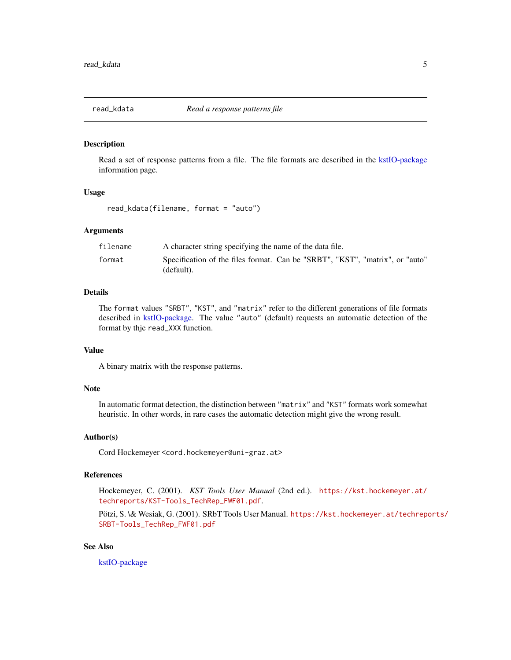<span id="page-4-0"></span>

#### Description

Read a set of response patterns from a file. The file formats are described in the [kstIO-package](#page-1-1) information page.

#### Usage

read\_kdata(filename, format = "auto")

#### Arguments

| filename | A character string specifying the name of the data file.                                   |
|----------|--------------------------------------------------------------------------------------------|
| format   | Specification of the files format. Can be "SRBT", "KST", "matrix", or "auto"<br>(default). |

#### Details

The format values "SRBT", "KST", and "matrix" refer to the different generations of file formats described in [kstIO-package.](#page-1-1) The value "auto" (default) requests an automatic detection of the format by thje read\_XXX function.

#### Value

A binary matrix with the response patterns.

#### Note

In automatic format detection, the distinction between "matrix" and "KST" formats work somewhat heuristic. In other words, in rare cases the automatic detection might give the wrong result.

#### Author(s)

Cord Hockemeyer <cord.hockemeyer@uni-graz.at>

#### References

Hockemeyer, C. (2001). *KST Tools User Manual* (2nd ed.). [https://kst.hockemeyer.at/](https://kst.hockemeyer.at/techreports/KST-Tools_TechRep_FWF01.pdf) [techreports/KST-Tools\\_TechRep\\_FWF01.pdf](https://kst.hockemeyer.at/techreports/KST-Tools_TechRep_FWF01.pdf).

Pötzi, S. \& Wesiak, G. (2001). SRbT Tools User Manual. [https://kst.hockemeyer.at/techrepo](https://kst.hockemeyer.at/techreports/SRBT-Tools_TechRep_FWF01.pdf)rts/ [SRBT-Tools\\_TechRep\\_FWF01.pdf](https://kst.hockemeyer.at/techreports/SRBT-Tools_TechRep_FWF01.pdf)

#### See Also

[kstIO-package](#page-1-1)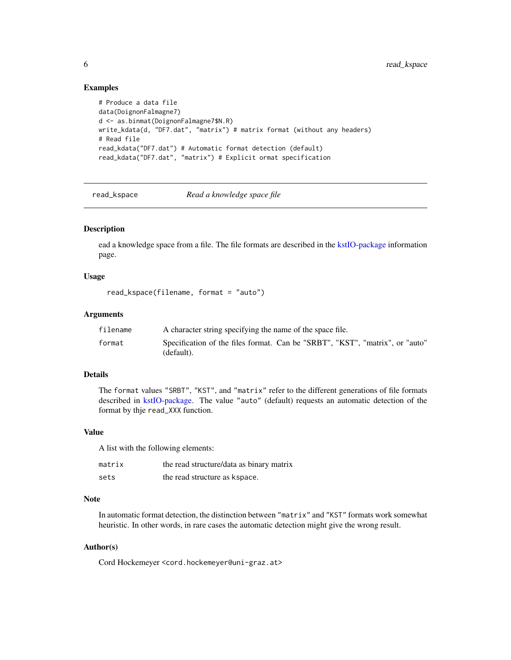#### Examples

```
# Produce a data file
data(DoignonFalmagne7)
d <- as.binmat(DoignonFalmagne7$N.R)
write_kdata(d, "DF7.dat", "matrix") # matrix format (without any headers)
# Read file
read_kdata("DF7.dat") # Automatic format detection (default)
read_kdata("DF7.dat", "matrix") # Explicit ormat specification
```
read\_kspace *Read a knowledge space file*

#### Description

ead a knowledge space from a file. The file formats are described in the [kstIO-package](#page-1-1) information page.

#### Usage

```
read_kspace(filename, format = "auto")
```
#### Arguments

| filename | A character string specifying the name of the space file.                                  |
|----------|--------------------------------------------------------------------------------------------|
| format   | Specification of the files format. Can be "SRBT", "KST", "matrix", or "auto"<br>(default). |

#### Details

The format values "SRBT", "KST", and "matrix" refer to the different generations of file formats described in [kstIO-package.](#page-1-1) The value "auto" (default) requests an automatic detection of the format by thje read\_XXX function.

#### Value

A list with the following elements:

| matrix | the read structure/data as binary matrix |
|--------|------------------------------------------|
| sets   | the read structure as kspace.            |

#### Note

In automatic format detection, the distinction between "matrix" and "KST" formats work somewhat heuristic. In other words, in rare cases the automatic detection might give the wrong result.

#### Author(s)

Cord Hockemeyer <cord.hockemeyer@uni-graz.at>

<span id="page-5-0"></span>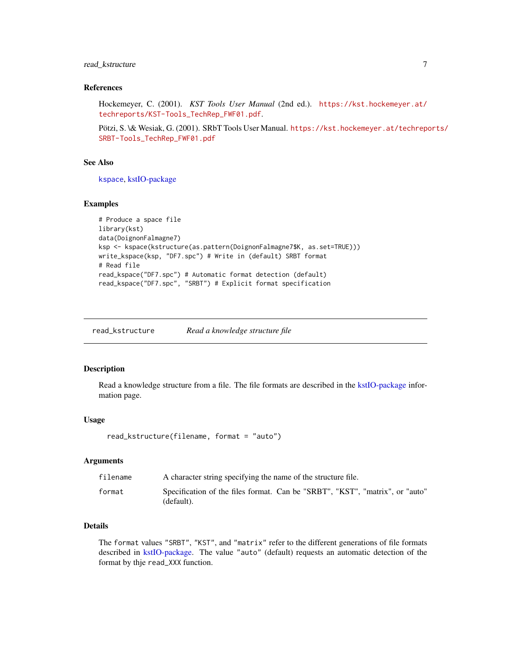#### <span id="page-6-0"></span>read\_kstructure 7

#### References

Hockemeyer, C. (2001). *KST Tools User Manual* (2nd ed.). [https://kst.hockemeyer.at/](https://kst.hockemeyer.at/techreports/KST-Tools_TechRep_FWF01.pdf) [techreports/KST-Tools\\_TechRep\\_FWF01.pdf](https://kst.hockemeyer.at/techreports/KST-Tools_TechRep_FWF01.pdf).

Pötzi, S. \& Wesiak, G. (2001). SRbT Tools User Manual. [https://kst.hockemeyer.at/techrepo](https://kst.hockemeyer.at/techreports/SRBT-Tools_TechRep_FWF01.pdf)rts/ [SRBT-Tools\\_TechRep\\_FWF01.pdf](https://kst.hockemeyer.at/techreports/SRBT-Tools_TechRep_FWF01.pdf)

#### See Also

[kspace](#page-0-0), [kstIO-package](#page-1-1)

#### Examples

```
# Produce a space file
library(kst)
data(DoignonFalmagne7)
ksp <- kspace(kstructure(as.pattern(DoignonFalmagne7$K, as.set=TRUE)))
write_kspace(ksp, "DF7.spc") # Write in (default) SRBT format
# Read file
read_kspace("DF7.spc") # Automatic format detection (default)
read_kspace("DF7.spc", "SRBT") # Explicit format specification
```
read\_kstructure *Read a knowledge structure file*

#### Description

Read a knowledge structure from a file. The file formats are described in the [kstIO-package](#page-1-1) information page.

#### Usage

```
read_kstructure(filename, format = "auto")
```
#### Arguments

| filename | A character string specifying the name of the structure file.                              |
|----------|--------------------------------------------------------------------------------------------|
| format   | Specification of the files format. Can be "SRBT", "KST", "matrix", or "auto"<br>(default). |

#### Details

The format values "SRBT", "KST", and "matrix" refer to the different generations of file formats described in [kstIO-package.](#page-1-1) The value "auto" (default) requests an automatic detection of the format by thje read\_XXX function.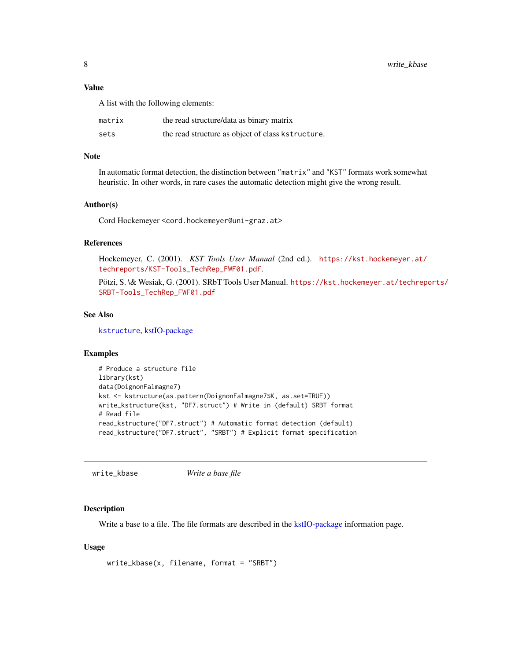#### <span id="page-7-0"></span>Value

A list with the following elements:

| matrix | the read structure/data as binary matrix          |
|--------|---------------------------------------------------|
| sets   | the read structure as object of class kstructure. |

#### Note

In automatic format detection, the distinction between "matrix" and "KST" formats work somewhat heuristic. In other words, in rare cases the automatic detection might give the wrong result.

#### Author(s)

Cord Hockemeyer <cord.hockemeyer@uni-graz.at>

#### References

Hockemeyer, C. (2001). *KST Tools User Manual* (2nd ed.). [https://kst.hockemeyer.at/](https://kst.hockemeyer.at/techreports/KST-Tools_TechRep_FWF01.pdf) [techreports/KST-Tools\\_TechRep\\_FWF01.pdf](https://kst.hockemeyer.at/techreports/KST-Tools_TechRep_FWF01.pdf).

Pötzi, S. \& Wesiak, G. (2001). SRbT Tools User Manual. [https://kst.hockemeyer.at/techrepo](https://kst.hockemeyer.at/techreports/SRBT-Tools_TechRep_FWF01.pdf)rts/ [SRBT-Tools\\_TechRep\\_FWF01.pdf](https://kst.hockemeyer.at/techreports/SRBT-Tools_TechRep_FWF01.pdf)

#### See Also

[kstructure](#page-0-0), [kstIO-package](#page-1-1)

#### Examples

```
# Produce a structure file
library(kst)
data(DoignonFalmagne7)
kst <- kstructure(as.pattern(DoignonFalmagne7$K, as.set=TRUE))
write_kstructure(kst, "DF7.struct") # Write in (default) SRBT format
# Read file
read_kstructure("DF7.struct") # Automatic format detection (default)
read_kstructure("DF7.struct", "SRBT") # Explicit format specification
```
write\_kbase *Write a base file*

#### Description

Write a base to a file. The file formats are described in the [kstIO-package](#page-1-1) information page.

```
write_kbase(x, filename, format = "SRBT")
```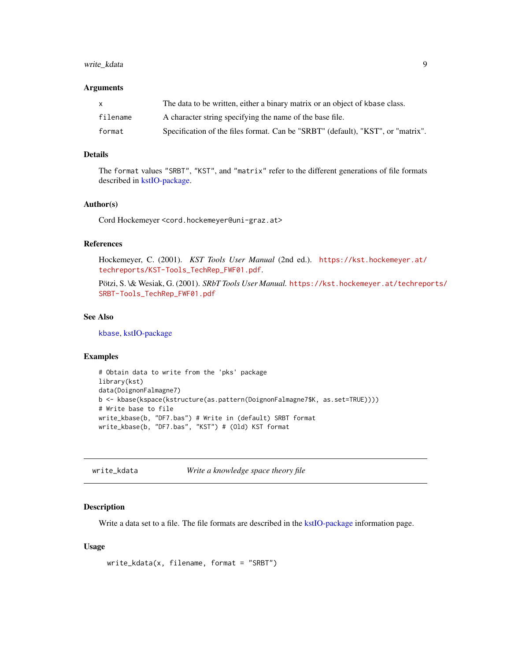#### <span id="page-8-0"></span>write\_kdata 9

#### Arguments

|          | The data to be written, either a binary matrix or an object of kbase class.     |
|----------|---------------------------------------------------------------------------------|
| filename | A character string specifying the name of the base file.                        |
| format   | Specification of the files format. Can be "SRBT" (default), "KST", or "matrix". |

#### Details

The format values "SRBT", "KST", and "matrix" refer to the different generations of file formats described in [kstIO-package.](#page-1-1)

#### Author(s)

Cord Hockemeyer <cord.hockemeyer@uni-graz.at>

#### References

Hockemeyer, C. (2001). *KST Tools User Manual* (2nd ed.). [https://kst.hockemeyer.at/](https://kst.hockemeyer.at/techreports/KST-Tools_TechRep_FWF01.pdf) [techreports/KST-Tools\\_TechRep\\_FWF01.pdf](https://kst.hockemeyer.at/techreports/KST-Tools_TechRep_FWF01.pdf).

Pötzi, S. \& Wesiak, G. (2001). *SRbT Tools User Manual.* [https://kst.hockemeyer.at/techrepo](https://kst.hockemeyer.at/techreports/SRBT-Tools_TechRep_FWF01.pdf)rts/ [SRBT-Tools\\_TechRep\\_FWF01.pdf](https://kst.hockemeyer.at/techreports/SRBT-Tools_TechRep_FWF01.pdf)

#### See Also

[kbase](#page-0-0), [kstIO-package](#page-1-1)

#### Examples

```
# Obtain data to write from the 'pks' package
library(kst)
data(DoignonFalmagne7)
b <- kbase(kspace(kstructure(as.pattern(DoignonFalmagne7$K, as.set=TRUE))))
# Write base to file
write_kbase(b, "DF7.bas") # Write in (default) SRBT format
write_kbase(b, "DF7.bas", "KST") # (Old) KST format
```
write\_kdata *Write a knowledge space theory file*

#### Description

Write a data set to a file. The file formats are described in the [kstIO-package](#page-1-1) information page.

```
write_kdata(x, filename, format = "SRBT")
```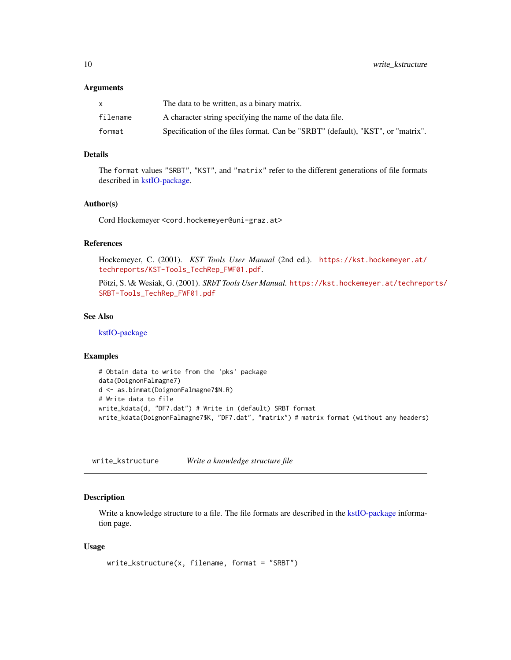#### <span id="page-9-0"></span>Arguments

|          | The data to be written, as a binary matrix.                                     |
|----------|---------------------------------------------------------------------------------|
| filename | A character string specifying the name of the data file.                        |
| format   | Specification of the files format. Can be "SRBT" (default), "KST", or "matrix". |

#### Details

The format values "SRBT", "KST", and "matrix" refer to the different generations of file formats described in [kstIO-package.](#page-1-1)

#### Author(s)

Cord Hockemeyer <cord.hockemeyer@uni-graz.at>

#### References

Hockemeyer, C. (2001). *KST Tools User Manual* (2nd ed.). [https://kst.hockemeyer.at/](https://kst.hockemeyer.at/techreports/KST-Tools_TechRep_FWF01.pdf) [techreports/KST-Tools\\_TechRep\\_FWF01.pdf](https://kst.hockemeyer.at/techreports/KST-Tools_TechRep_FWF01.pdf).

Pötzi, S. \& Wesiak, G. (2001). *SRbT Tools User Manual.* [https://kst.hockemeyer.at/techrepo](https://kst.hockemeyer.at/techreports/SRBT-Tools_TechRep_FWF01.pdf)rts/ [SRBT-Tools\\_TechRep\\_FWF01.pdf](https://kst.hockemeyer.at/techreports/SRBT-Tools_TechRep_FWF01.pdf)

#### See Also

[kstIO-package](#page-1-1)

#### Examples

```
# Obtain data to write from the 'pks' package
data(DoignonFalmagne7)
d <- as.binmat(DoignonFalmagne7$N.R)
# Write data to file
write_kdata(d, "DF7.dat") # Write in (default) SRBT format
write_kdata(DoignonFalmagne7$K, "DF7.dat", "matrix") # matrix format (without any headers)
```
write\_kstructure *Write a knowledge structure file*

#### Description

Write a knowledge structure to a file. The file formats are described in the [kstIO-package](#page-1-1) information page.

```
write_kstructure(x, filename, format = "SRBT")
```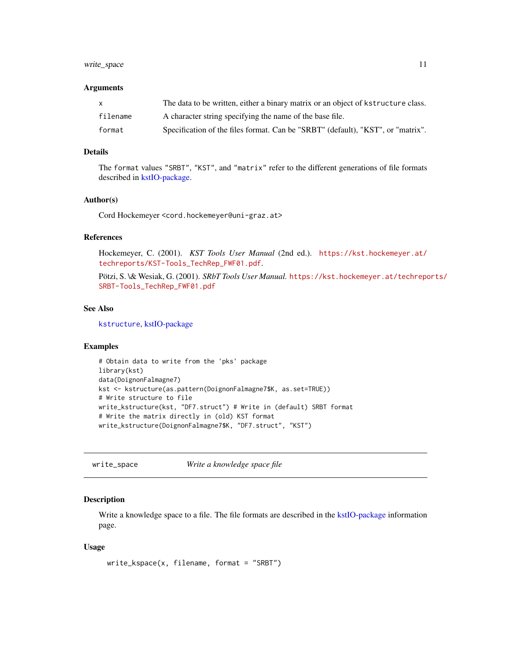#### <span id="page-10-0"></span>write\_space 11

#### Arguments

| x        | The data to be written, either a binary matrix or an object of kstructure class. |
|----------|----------------------------------------------------------------------------------|
| filename | A character string specifying the name of the base file.                         |
| format   | Specification of the files format. Can be "SRBT" (default), "KST", or "matrix".  |

#### Details

The format values "SRBT", "KST", and "matrix" refer to the different generations of file formats described in [kstIO-package.](#page-1-1)

#### Author(s)

Cord Hockemeyer <cord.hockemeyer@uni-graz.at>

#### References

Hockemeyer, C. (2001). *KST Tools User Manual* (2nd ed.). [https://kst.hockemeyer.at/](https://kst.hockemeyer.at/techreports/KST-Tools_TechRep_FWF01.pdf) [techreports/KST-Tools\\_TechRep\\_FWF01.pdf](https://kst.hockemeyer.at/techreports/KST-Tools_TechRep_FWF01.pdf).

Pötzi, S. \& Wesiak, G. (2001). *SRbT Tools User Manual.* [https://kst.hockemeyer.at/techrepo](https://kst.hockemeyer.at/techreports/SRBT-Tools_TechRep_FWF01.pdf)rts/ [SRBT-Tools\\_TechRep\\_FWF01.pdf](https://kst.hockemeyer.at/techreports/SRBT-Tools_TechRep_FWF01.pdf)

#### See Also

[kstructure](#page-0-0), [kstIO-package](#page-1-1)

#### Examples

```
# Obtain data to write from the 'pks' package
library(kst)
data(DoignonFalmagne7)
kst <- kstructure(as.pattern(DoignonFalmagne7$K, as.set=TRUE))
# Write structure to file
write_kstructure(kst, "DF7.struct") # Write in (default) SRBT format
# Write the matrix directly in (old) KST format
write_kstructure(DoignonFalmagne7$K, "DF7.struct", "KST")
```
write\_space *Write a knowledge space file*

#### Description

Write a knowledge space to a file. The file formats are described in the [kstIO-package](#page-1-1) information page.

```
write_kspace(x, filename, format = "SRBT")
```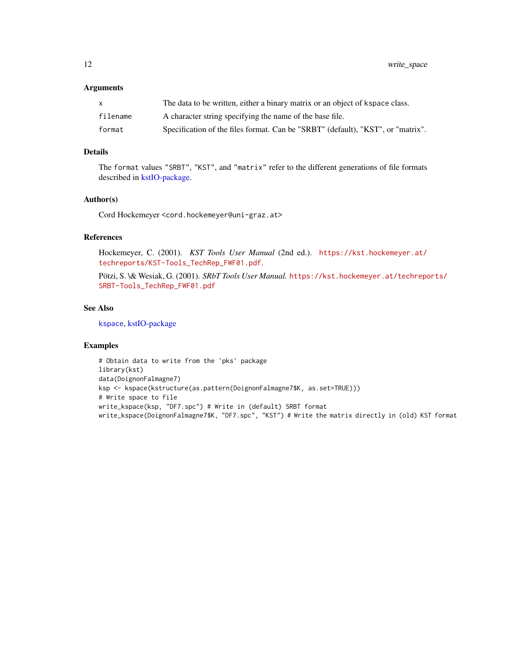<span id="page-11-0"></span>12 write\_space

#### Arguments

|          | The data to be written, either a binary matrix or an object of kspace class.    |
|----------|---------------------------------------------------------------------------------|
| filename | A character string specifying the name of the base file.                        |
| format   | Specification of the files format. Can be "SRBT" (default), "KST", or "matrix". |

#### Details

The format values "SRBT", "KST", and "matrix" refer to the different generations of file formats described in [kstIO-package.](#page-1-1)

#### Author(s)

Cord Hockemeyer <cord.hockemeyer@uni-graz.at>

#### References

Hockemeyer, C. (2001). *KST Tools User Manual* (2nd ed.). [https://kst.hockemeyer.at/](https://kst.hockemeyer.at/techreports/KST-Tools_TechRep_FWF01.pdf) [techreports/KST-Tools\\_TechRep\\_FWF01.pdf](https://kst.hockemeyer.at/techreports/KST-Tools_TechRep_FWF01.pdf).

Pötzi, S. \& Wesiak, G. (2001). *SRbT Tools User Manual.* [https://kst.hockemeyer.at/techrepo](https://kst.hockemeyer.at/techreports/SRBT-Tools_TechRep_FWF01.pdf)rts/ [SRBT-Tools\\_TechRep\\_FWF01.pdf](https://kst.hockemeyer.at/techreports/SRBT-Tools_TechRep_FWF01.pdf)

#### See Also

[kspace](#page-0-0), [kstIO-package](#page-1-1)

#### Examples

```
# Obtain data to write from the 'pks' package
library(kst)
data(DoignonFalmagne7)
ksp <- kspace(kstructure(as.pattern(DoignonFalmagne7$K, as.set=TRUE)))
# Write space to file
write_kspace(ksp, "DF7.spc") # Write in (default) SRBT format
write_kspace(DoignonFalmagne7$K, "DF7.spc", "KST") # Write the matrix directly in (old) KST format
```